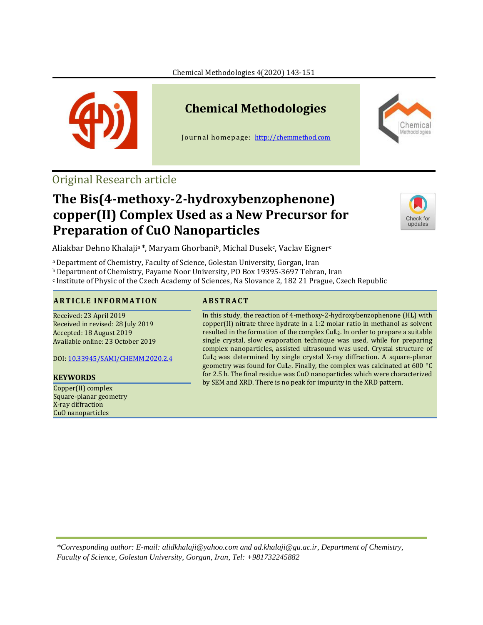

# **Chemical Methodologies**

Journal homepage: [http://chemmethod.com](http://chemmethod.com/)



## Original Research article

## **The Bis(4-methoxy-2-hydroxybenzophenone) copper(II) Complex Used as a New Precursor for Preparation of CuO Nanoparticles**



Aliakbar Dehno Khalaji<sup>a</sup>\*, Maryam Ghorbani<sup>b</sup>, Michal Dusek<sup>c</sup>, Vaclav Eigner<sup>c</sup>

<sup>a</sup>Department of Chemistry, Faculty of Science, Golestan University, Gorgan, Iran

<sup>b</sup> Department of Chemistry, Payame Noor University, PO Box 19395-3697 Tehran, Iran

<sup>c</sup> Institute of Physic of the Czech Academy of Sciences, Na Slovance 2, 182 21 Prague, Czech Republic

### **A R T I C L E I N F O R M A T I O N A B S T R A C T**

Received: 23 April 2019 Received in revised: 28 July 2019 Accepted: 18 August 2019 Available online: 23 October 2019

DOI: [10.33945/SAMI/CHEMM.2020.2.4](http://www.chemmethod.com/article_91261.html)

Copper(II) complex Square-planar geometry X-ray diffraction CuO nanoparticles

In this study, the reaction of 4-methoxy-2-hydroxybenzophenone (H**L**) with copper(II) nitrate three hydrate in a 1:2 molar ratio in methanol as solvent resulted in the formation of the complex Cu**L**2. In order to prepare a suitable single crystal, slow evaporation technique was used, while for preparing complex nanoparticles, assisted ultrasound was used. Crystal structure of Cu**L**2 was determined by single crystal X-ray diffraction. A square-planar geometry was found for Cu**L**<sub>2</sub>. Finally, the complex was calcinated at 600 °C for 2.5 h. The final residue was CuO nanoparticles which were characterized by SEM and XRD. There is no peak for impurity in the XRD pattern. **KEYWORDS**

*\*Corresponding author: E-mail[: alidkhalaji@yahoo.com](mailto:alidkhalaji@yahoo.com) and ad.khalaji@gu.ac.ir, Department of Chemistry, Faculty of Science, Golestan University, Gorgan, Iran, Tel: +981732245882*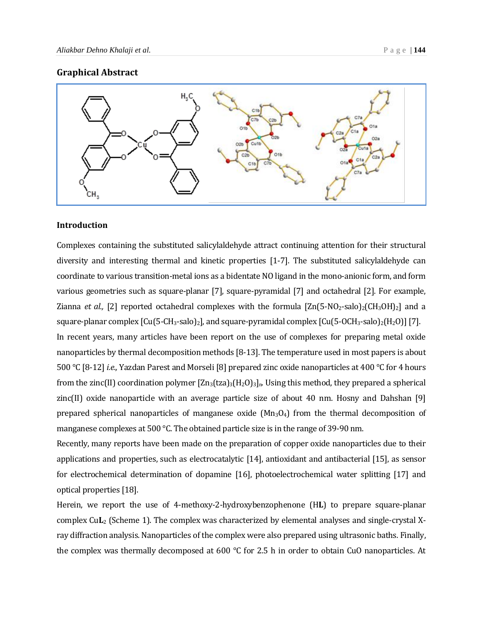#### **Graphical Abstract**



#### **Introduction**

Complexes containing the substituted salicylaldehyde attract continuing attention for their structural diversity and interesting thermal and kinetic properties [1-7]. The substituted salicylaldehyde can coordinate to various transition-metal ions as a bidentate NO ligand in the mono-anionic form, and form various geometries such as square-planar [7], square-pyramidal [7] and octahedral [2]. For example, Zianna *et al.*, [2] reported octahedral complexes with the formula  $[\text{Zn}(5\text{-}NO_{2}\text{-}salo)_{2}(\text{CH}_{3}OH)_{2}]$  and a square-planar complex  $\lceil \text{Cu(5-CH_3-salo)}_2 \rceil$ , and square-pyramidal complex  $\lceil \text{Cu(5-OCH_3-salo)}_2(\text{H}_2\text{O}) \rceil$  [7]. In recent years, many articles have been report on the use of complexes for preparing metal oxide nanoparticles by thermal decomposition methods [8-13]. The temperature used in most papers is about 500 °C [8-12] *i.e.,* Yazdan Parest and Morseli [8] prepared zinc oxide nanoparticles at 400 °C for 4 hours from the zinc(II) coordination polymer  $[\text{Zn}_3(\text{tza})_3(H_2O)_3]_n$ . Using this method, they prepared a spherical zinc(II) oxide nanoparticle with an average particle size of about 40 nm. Hosny and Dahshan [9] prepared spherical nanoparticles of manganese oxide  $(Mn_3O_4)$  from the thermal decomposition of manganese complexes at 500 °C. The obtained particle size is in the range of 39-90 nm.

Recently, many reports have been made on the preparation of copper oxide nanoparticles due to their applications and properties, such as electrocatalytic [14], antioxidant and antibacterial [15], as sensor for electrochemical determination of dopamine [16], photoelectrochemical water splitting [17] and optical properties [18].

Herein, we report the use of 4-methoxy-2-hydroxybenzophenone (H**L**) to prepare square-planar complex Cu**L**<sup>2</sup> (Scheme 1). The complex was characterized by elemental analyses and single-crystal Xray diffraction analysis. Nanoparticles of the complex were also prepared using ultrasonic baths. Finally, the complex was thermally decomposed at 600 °C for 2.5 h in order to obtain CuO nanoparticles. At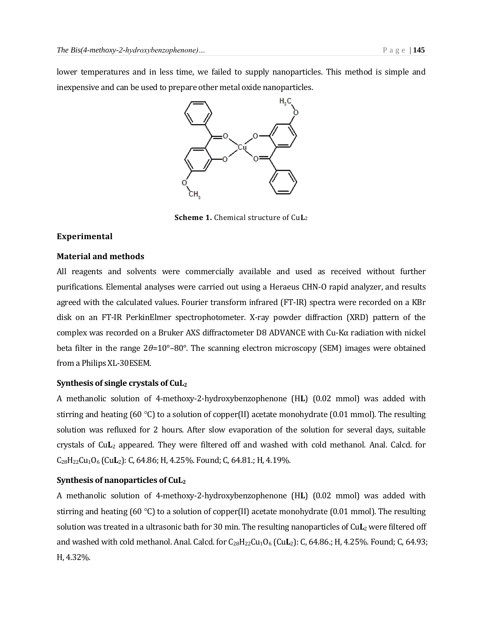lower temperatures and in less time, we failed to supply nanoparticles. This method is simple and inexpensive and can be used to prepare other metal oxide nanoparticles.



**Scheme 1.** Chemical structure of Cu**L**<sup>2</sup>

#### **Experimental**

#### **Material and methods**

All reagents and solvents were commercially available and used as received without further purifications. Elemental analyses were carried out using a Heraeus CHN-O rapid analyzer, and results agreed with the calculated values. Fourier transform infrared (FT-IR) spectra were recorded on a KBr disk on an FT-IR PerkinElmer spectrophotometer. X-ray powder diffraction (XRD) pattern of the complex was recorded on a Bruker AXS diffractometer D8 ADVANCE with Cu-Kα radiation with nickel beta filter in the range 2*θ*=10°–80°. The scanning electron microscopy (SEM) images were obtained from a Philips XL-30ESEM.

#### **Synthesis of single crystals of CuL<sup>2</sup>**

A methanolic solution of 4-methoxy-2-hydroxybenzophenone (H**L**) (0.02 mmol) was added with stirring and heating (60 °C) to a solution of copper(II) acetate monohydrate (0.01 mmol). The resulting solution was refluxed for 2 hours. After slow evaporation of the solution for several days, suitable crystals of Cu**L**<sup>2</sup> appeared. They were filtered off and washed with cold methanol. Anal. Calcd. for [C](file:///C:/Ghorbani/MS%20of%20Cu%20and%20Ni%20+%20bn/I%20_chemical_formula_moiety)[28](file:///C:/Ghorbani/MS%20of%20Cu%20and%20Ni%20+%20bn/I%20_chemical_formula_moiety)[H](file:///C:/Ghorbani/MS%20of%20Cu%20and%20Ni%20+%20bn/I%20_chemical_formula_moiety)[22](file:///C:/Ghorbani/MS%20of%20Cu%20and%20Ni%20+%20bn/I%20_chemical_formula_moiety)[Cu](file:///C:/Ghorbani/MS%20of%20Cu%20and%20Ni%20+%20bn/I%20_chemical_formula_moiety)1[O](file:///C:/Ghorbani/MS%20of%20Cu%20and%20Ni%20+%20bn/I%20_chemical_formula_moiety)<sup>6</sup> (Cu**L**2): C, 64.86; H, 4.25%. Found; C, 64.81.; H, 4.19%.

#### **Synthesis of nanoparticles of CuL<sup>2</sup>**

A methanolic solution of 4-methoxy-2-hydroxybenzophenone (H**L**) (0.02 mmol) was added with stirring and heating (60 °C) to a solution of copper(II) acetate monohydrate (0.01 mmol). The resulting solution was treated in a ultrasonic bath for 30 min. The resulting nanoparticles of Cu**L**<sup>2</sup> were filtered off and washed with cold methanol. Anal. [C](file:///C:/Ghorbani/MS%20of%20Cu%20and%20Ni%20+%20bn/I%20_chemical_formula_moiety)alcd. for C<sub>[28](file:///C:/Ghorbani/MS%20of%20Cu%20and%20Ni%20+%20bn/I%20_chemical_formula_moiety)</sub>[H](file:///C:/Ghorbani/MS%20of%20Cu%20and%20Ni%20+%20bn/I%20_chemical_formula_moiety)<sub>22</sub>[Cu](file:///C:/Ghorbani/MS%20of%20Cu%20and%20Ni%20+%20bn/I%20_chemical_formula_moiety)<sub>1</sub>[O](file:///C:/Ghorbani/MS%20of%20Cu%20and%20Ni%20+%20bn/I%20_chemical_formula_moiety)<sub>6</sub> (Cu**L**<sub>2</sub>): C, 64.86.; H, 4.25%. Found; C, 64.93; H, 4.32%.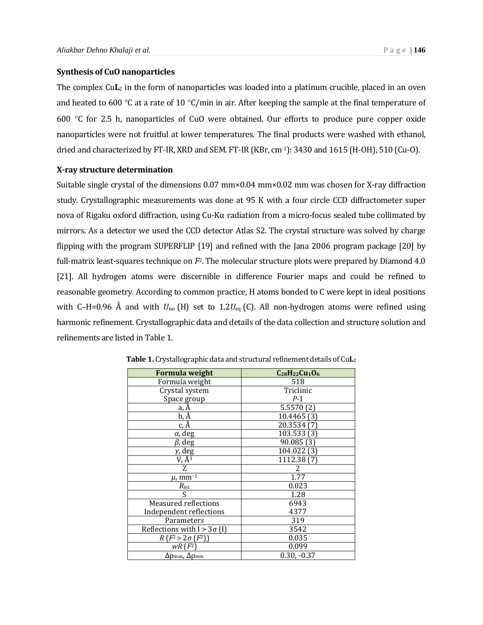#### **Synthesis of CuO nanoparticles**

The complex Cu**L**<sub>2</sub> in the form of nanoparticles was loaded into a platinum crucible, placed in an oven and heated to 600 °C at a rate of 10 °C/min in air. After keeping the sample at the final temperature of 600  $\degree$ C for 2.5 h, nanoparticles of CuO were obtained. Our efforts to produce pure copper oxide nanoparticles were not fruitful at lower temperatures. The final products were washed with ethanol, dried and characterized by FT-IR, XRD and SEM. FT-IR (KBr, cm-1): 3430 and 1615 (H-OH), 510 (Cu-O).

#### **X-ray structure determination**

Suitable single crystal of the dimensions 0.07 mm×0.04 mm×0.02 mm was chosen for X-ray diffraction study. Crystallographic measurements was done at 95 K with a four circle CCD diffractometer super nova of Rigaku oxford diffraction, using Cu-Kα radiation from a micro-focus sealed tube collimated by mirrors. As a detector we used the CCD detector Atlas S2. The crystal structure was solved by charge flipping with the program SUPERFLIP [19] and refined with the Jana 2006 program package [20] by full-matrix least-squares technique on *F*2. The molecular structure plots were prepared by Diamond 4.0 [21]. All hydrogen atoms were discernible in difference Fourier maps and could be refined to reasonable geometry. According to common practice, H atoms bonded to C were kept in ideal positions with C–H=0.96 Å and with  $U_{\text{iso}}$  (H) set to 1.2 $U_{\text{eq}}$  (C). All non-hydrogen atoms were refined using harmonic refinement. Crystallographic data and details of the data collection and structure solution and refinements are listed in Table 1.

| <b>Formula weight</b>                             | $C_{28}H_{22}Cu_{1}O_{6}$ |
|---------------------------------------------------|---------------------------|
| Formula weight                                    | 518                       |
| Crystal system                                    | Triclinic                 |
| Space group                                       | $P-1$                     |
| a, Ä                                              | 5.5570(2)                 |
| $b, \overline{A}$                                 | 10.4465 (3)               |
| $c, \AA$                                          | 20.3534                   |
| $\alpha$ , deg                                    | 103.533 (3)               |
| $\beta$ , deg                                     | 90.085 (3)                |
| $\overline{\gamma}$ , deg                         | 104.022 (3)               |
| $V, \hat{A}^3$                                    | 1112.38 (7)               |
| 7.                                                |                           |
| $\mu$ , mm <sup>-1</sup>                          | 1.77                      |
| $R_{\rm int}$                                     | 0.023                     |
| S                                                 | 1.28                      |
| <b>Measured reflections</b>                       | 6943                      |
| Independent reflections                           | 4377                      |
| Parameters                                        | 319                       |
| Reflections with $I > 3\sigma(I)$                 | 3542                      |
| $R(F^2 > 2\sigma(F^2))$                           | 0.035                     |
| $wR$ (F <sup>2</sup>                              | 0.099                     |
| $\Delta\rho_\text{max}$ , $\Delta\rho_\text{min}$ | $0.30, -0.37$             |

**Table 1.** Crystallographic data and structural refinement details of Cu**L**<sup>2</sup>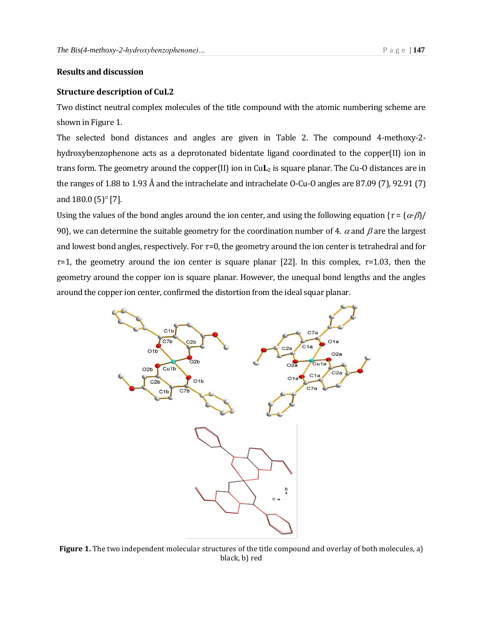### **Results and discussion**

#### **Structure description of CuL2**

Two distinct neutral complex molecules of the title compound with the atomic numbering scheme are shown in Figure 1.

The selected bond distances and angles are given in Table 2. The compound 4-methoxy-2 hydroxybenzophenone acts as a deprotonated bidentate ligand coordinated to the copper(II) ion in trans form. The geometry around the copper(II) ion in Cu**L**<sup>2</sup> is square planar. The Cu-O distances are in the ranges of 1.88 to 1.93 Å and the intrachelate and intrachelate O-Cu-O angles are 87.09 (7), 92.91 (7) and  $180.0\,(5)^\circ$  [7].

Using the values of the bond angles around the ion center, and using the following equation  $\{\tau = (\alpha \cdot \beta) / \sigma\}$ 90}, we can determine the suitable geometry for the coordination number of 4.  $\alpha$  and  $\beta$  are the largest and lowest bond angles, respectively. For *τ*=0, the geometry around the ion center is tetrahedral and for *τ*=1, the geometry around the ion center is square planar [22]. In this complex, *τ*=1.03, then the geometry around the copper ion is square planar. However, the unequal bond lengths and the angles around the copper ion center, confirmed the distortion from the ideal squar planar.



**Figure 1.** The two independent molecular structures of the title compound and overlay of both molecules, a) black, b) red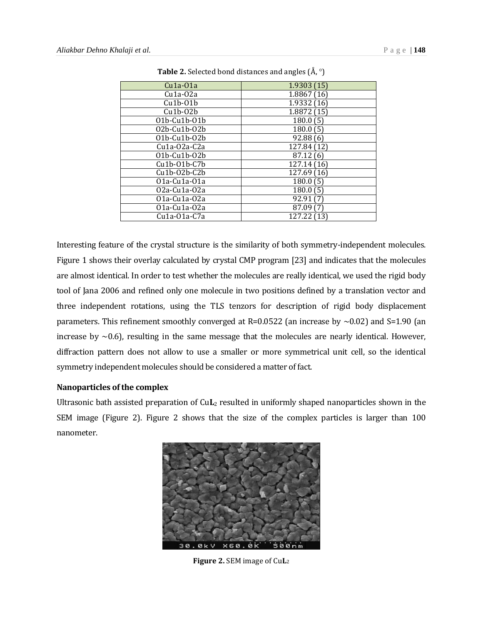| $Cu1a-01a$             | 1.9303(15)  |
|------------------------|-------------|
| $Cu1a-02a$             | 1.8867(16)  |
| $Cu1b-01b$             | 1.9332 (16) |
| $Cu1b-02b$             | 1.8872(15)  |
| $01b$ -Cu $1b$ - $01b$ | 180.0(5)    |
| 02b-Cu1b-02b           | 180.0(5)    |
| 01b-Cu1b-02b           | 92.88(6)    |
| $Cu1a-02a-C2a$         | 127.84 (12) |
| 01b-Cu1b-02b           | 87.12(6)    |
| $Cu1b-01b-C7b$         | 127.14 (16) |
| $Cu1b-02b-C2b$         | 127.69 (16) |
| 01a-Cu1a-01a           | 180.0(5)    |
| 02a-Cu1a-02a           | 180.0(5)    |
| 01a-Cu1a-02a           | 92.91 (7)   |
| 01a-Cu1a-02a           | 87.09 (7)   |
| Cu1a-01a-C7a           | 127.22 (13) |

**Table 2.** Selected bond distances and angles  $(\AA, \degree)$ 

Interesting feature of the crystal structure is the similarity of both symmetry-independent molecules. Figure 1 shows their overlay calculated by crystal CMP program [23] and indicates that the molecules are almost identical. In order to test whether the molecules are really identical, we used the rigid body tool of Jana 2006 and refined only one molecule in two positions defined by a translation vector and three independent rotations, using the TLS tenzors for description of rigid body displacement parameters. This refinement smoothly converged at R=0.0522 (an increase by  $\sim$ 0.02) and S=1.90 (an increase by  $\sim$ 0.6), resulting in the same message that the molecules are nearly identical. However, diffraction pattern does not allow to use a smaller or more symmetrical unit cell, so the identical symmetry independent molecules should be considered a matter of fact.

#### **Nanoparticles of the complex**

Ultrasonic bath assisted preparation of Cu**L**<sup>2</sup> resulted in uniformly shaped nanoparticles shown in the SEM image (Figure 2). Figure 2 shows that the size of the complex particles is larger than 100 nanometer.



**Figure 2.** SEM image of Cu**L**2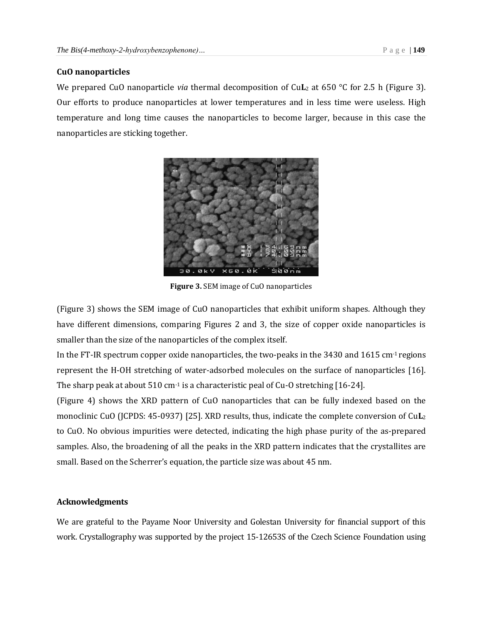#### **CuO nanoparticles**

We prepared CuO nanoparticle *via* thermal decomposition of CuL<sub>2</sub> at 650 °C for 2.5 h (Figure 3). Our efforts to produce nanoparticles at lower temperatures and in less time were useless. High temperature and long time causes the nanoparticles to become larger, because in this case the nanoparticles are sticking together.



**Figure 3.** SEM image of CuO nanoparticles

(Figure 3) shows the SEM image of CuO nanoparticles that exhibit uniform shapes. Although they have different dimensions, comparing Figures 2 and 3, the size of copper oxide nanoparticles is smaller than the size of the nanoparticles of the complex itself.

In the FT-IR spectrum copper oxide nanoparticles, the two-peaks in the 3430 and 1615 cm-1 regions represent the H-OH stretching of water-adsorbed molecules on the surface of nanoparticles [16]. The sharp peak at about  $510 \text{ cm}^{-1}$  is a characteristic peal of Cu-O stretching [16-24].

(Figure 4) shows the XRD pattern of CuO nanoparticles that can be fully indexed based on the monoclinic CuO (JCPDS: 45-0937) [25]. XRD results, thus, indicate the complete conversion of Cu**L**<sup>2</sup> to CuO. No obvious impurities were detected, indicating the high phase purity of the as-prepared samples. Also, the broadening of all the peaks in the XRD pattern indicates that the crystallites are small. Based on the Scherrer's equation, the particle size was about 45 nm.

### **Acknowledgments**

We are grateful to the Payame Noor University and Golestan University for financial support of this work. Crystallography was supported by the project 15-12653S of the Czech Science Foundation using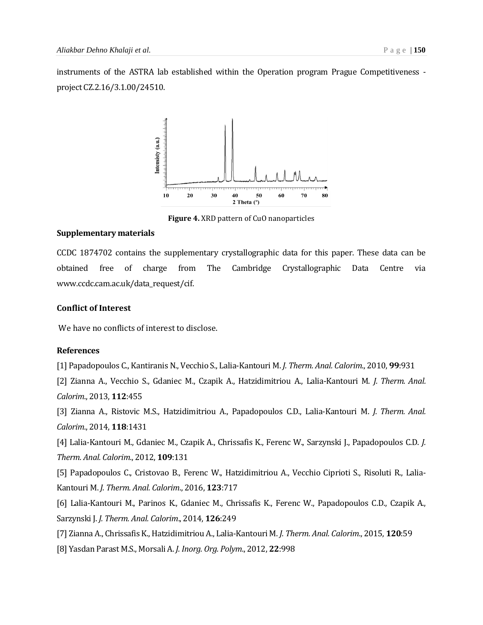instruments of the ASTRA lab established within the Operation program Prague Competitiveness project CZ.2.16/3.1.00/24510.



**Figure 4.** XRD pattern of CuO nanoparticles

#### **Supplementary materials**

CCDC 1874702 contains the supplementary crystallographic data for this paper. These data can be obtained free of charge from The Cambridge Crystallographic Data Centre via www.ccdc.cam.ac.uk/data\_request/cif.

#### **Conflict of Interest**

We have no conflicts of interest to disclose.

#### **References**

[1] Papadopoulos C., Kantiranis N., Vecchio S., Lalia-Kantouri M. *J. Therm. Anal. Calorim*., 2010, **99**:931

[2] Zianna A., Vecchio S., Gdaniec M., Czapik A., Hatzidimitriou A., Lalia-Kantouri M. *J. Therm. Anal. Calorim*., 2013, **112**:455

[3] Zianna A., Ristovic M.S., Hatzidimitriou A., Papadopoulos C.D., Lalia-Kantouri M. *J. Therm. Anal. Calorim*., 2014, **118**:1431

[4] Lalia-Kantouri M., Gdaniec M., Czapik A., Chrissafis K., Ferenc W., Sarzynski J., Papadopoulos C.D. *J. Therm. Anal. Calorim*., 2012, **109**:131

[5] Papadopoulos C., Cristovao B., Ferenc W., Hatzidimitriou A., Vecchio Ciprioti S., Risoluti R., Lalia-Kantouri M. *J. Therm. Anal. Calorim*., 2016, **123**:717

[6] Lalia-Kantouri M., Parinos K., Gdaniec M., Chrissafis K., Ferenc W., Papadopoulos C.D., Czapik A., Sarzynski J. *J. Therm. Anal. Calorim*., 2014, **126**:249

[7] Zianna A., Chrissafis K., Hatzidimitriou A., Lalia-Kantouri M. *J. Therm. Anal. Calorim*., 2015, **120**:59

[8] Yasdan Parast M.S., Morsali A. *J. Inorg. Org. Polym*., 2012, **22**:998